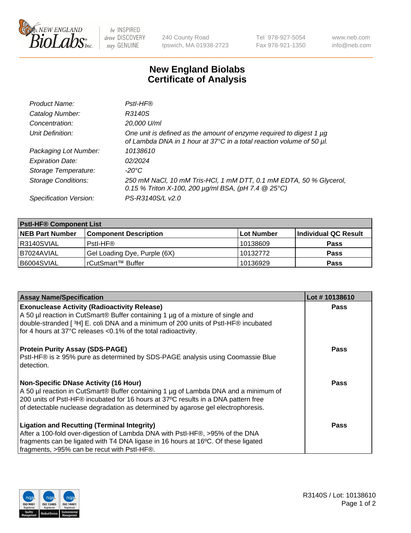

 $be$  INSPIRED drive DISCOVERY stay GENUINE

240 County Road Ipswich, MA 01938-2723 Tel 978-927-5054 Fax 978-921-1350 www.neb.com info@neb.com

## **New England Biolabs Certificate of Analysis**

| Product Name:              | Pstl-HF®                                                                                                                                             |
|----------------------------|------------------------------------------------------------------------------------------------------------------------------------------------------|
| Catalog Number:            | R3140S                                                                                                                                               |
| Concentration:             | 20,000 U/ml                                                                                                                                          |
| Unit Definition:           | One unit is defined as the amount of enzyme required to digest 1 $\mu$ g<br>of Lambda DNA in 1 hour at 37°C in a total reaction volume of 50 µl.     |
| Packaging Lot Number:      | 10138610                                                                                                                                             |
| <b>Expiration Date:</b>    | 02/2024                                                                                                                                              |
| Storage Temperature:       | $-20^{\circ}$ C                                                                                                                                      |
| <b>Storage Conditions:</b> | 250 mM NaCl, 10 mM Tris-HCl, 1 mM DTT, 0.1 mM EDTA, 50 % Glycerol,<br>0.15 % Triton X-100, 200 $\mu$ g/ml BSA, (pH 7.4 $\textcircled{25}^{\circ}$ C) |
| Specification Version:     | PS-R3140S/L v2.0                                                                                                                                     |

| <b>Pstl-HF® Component List</b> |                              |            |                      |  |
|--------------------------------|------------------------------|------------|----------------------|--|
| <b>NEB Part Number</b>         | <b>Component Description</b> | Lot Number | Individual QC Result |  |
| R3140SVIAL                     | Pstl-HF®                     | 10138609   | <b>Pass</b>          |  |
| I B7024AVIAL                   | Gel Loading Dye, Purple (6X) | 10132772   | <b>Pass</b>          |  |
| B6004SVIAL                     | l rCutSmart™ Buffer          | 10136929   | <b>Pass</b>          |  |

| <b>Assay Name/Specification</b>                                                                | Lot #10138610 |
|------------------------------------------------------------------------------------------------|---------------|
| <b>Exonuclease Activity (Radioactivity Release)</b>                                            | <b>Pass</b>   |
| A 50 µl reaction in CutSmart® Buffer containing 1 µg of a mixture of single and                |               |
| double-stranded [3H] E. coli DNA and a minimum of 200 units of PstI-HF® incubated              |               |
| for 4 hours at 37°C releases <0.1% of the total radioactivity.                                 |               |
| <b>Protein Purity Assay (SDS-PAGE)</b>                                                         | <b>Pass</b>   |
| PstI-HF® is ≥ 95% pure as determined by SDS-PAGE analysis using Coomassie Blue<br>l detection. |               |
| <b>Non-Specific DNase Activity (16 Hour)</b>                                                   | Pass          |
| A 50 µl reaction in CutSmart® Buffer containing 1 µg of Lambda DNA and a minimum of            |               |
| 200 units of Pstl-HF® incubated for 16 hours at 37°C results in a DNA pattern free             |               |
| of detectable nuclease degradation as determined by agarose gel electrophoresis.               |               |
| <b>Ligation and Recutting (Terminal Integrity)</b>                                             | Pass          |
| After a 100-fold over-digestion of Lambda DNA with PstI-HF®, >95% of the DNA                   |               |
| fragments can be ligated with T4 DNA ligase in 16 hours at 16°C. Of these ligated              |               |
| fragments, >95% can be recut with PstI-HF®.                                                    |               |